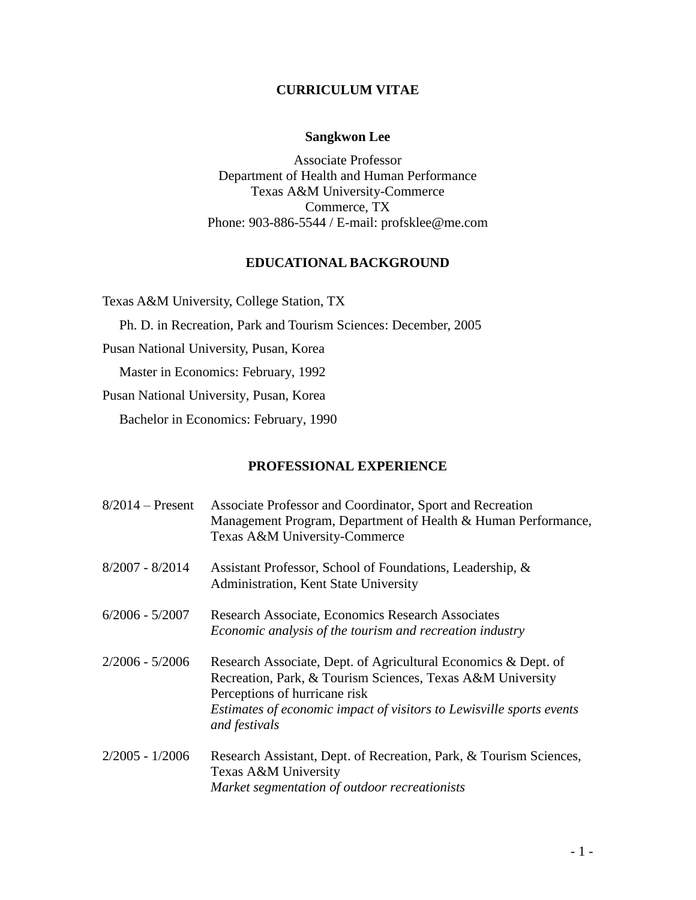#### **CURRICULUM VITAE**

#### **Sangkwon Lee**

Associate Professor Department of Health and Human Performance Texas A&M University-Commerce Commerce, TX Phone: 903-886-5544 / E-mail: profsklee@me.com

#### **EDUCATIONAL BACKGROUND**

Texas A&M University, College Station, TX

Ph. D. in Recreation, Park and Tourism Sciences: December, 2005

Pusan National University, Pusan, Korea

Master in Economics: February, 1992

Pusan National University, Pusan, Korea

Bachelor in Economics: February, 1990

#### **PROFESSIONAL EXPERIENCE**

| $8/2014$ – Present | Associate Professor and Coordinator, Sport and Recreation<br>Management Program, Department of Health & Human Performance,<br>Texas A&M University-Commerce                                                                                            |
|--------------------|--------------------------------------------------------------------------------------------------------------------------------------------------------------------------------------------------------------------------------------------------------|
| $8/2007 - 8/2014$  | Assistant Professor, School of Foundations, Leadership, &<br>Administration, Kent State University                                                                                                                                                     |
| $6/2006 - 5/2007$  | Research Associate, Economics Research Associates<br>Economic analysis of the tourism and recreation industry                                                                                                                                          |
| $2/2006 - 5/2006$  | Research Associate, Dept. of Agricultural Economics & Dept. of<br>Recreation, Park, & Tourism Sciences, Texas A&M University<br>Perceptions of hurricane risk<br>Estimates of economic impact of visitors to Lewisville sports events<br>and festivals |
| $2/2005 - 1/2006$  | Research Assistant, Dept. of Recreation, Park, & Tourism Sciences,<br>Texas A&M University<br>Market segmentation of outdoor recreationists                                                                                                            |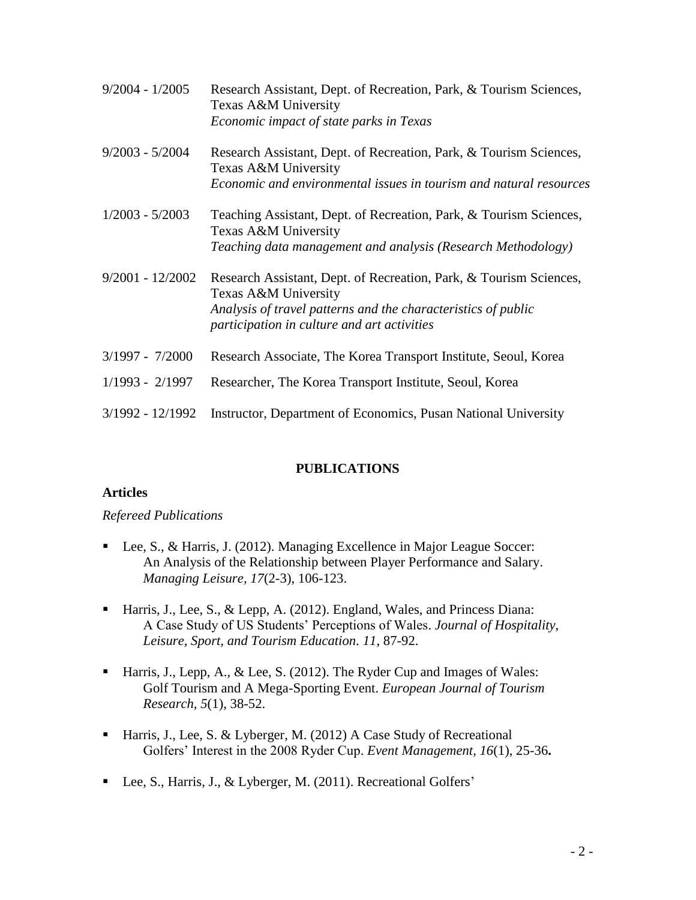| $9/2004 - 1/2005$  | Research Assistant, Dept. of Recreation, Park, & Tourism Sciences,<br>Texas A&M University<br>Economic impact of state parks in Texas                                                                      |
|--------------------|------------------------------------------------------------------------------------------------------------------------------------------------------------------------------------------------------------|
| $9/2003 - 5/2004$  | Research Assistant, Dept. of Recreation, Park, & Tourism Sciences,<br>Texas A&M University<br>Economic and environmental issues in tourism and natural resources                                           |
| $1/2003 - 5/2003$  | Teaching Assistant, Dept. of Recreation, Park, & Tourism Sciences,<br>Texas A&M University<br>Teaching data management and analysis (Research Methodology)                                                 |
| $9/2001 - 12/2002$ | Research Assistant, Dept. of Recreation, Park, & Tourism Sciences,<br>Texas A&M University<br>Analysis of travel patterns and the characteristics of public<br>participation in culture and art activities |
| $3/1997 - 7/2000$  | Research Associate, The Korea Transport Institute, Seoul, Korea                                                                                                                                            |
| $1/1993 - 2/1997$  | Researcher, The Korea Transport Institute, Seoul, Korea                                                                                                                                                    |
| $3/1992 - 12/1992$ | Instructor, Department of Economics, Pusan National University                                                                                                                                             |

#### **PUBLICATIONS**

#### **Articles**

#### *Refereed Publications*

- Lee, S., & Harris, J. (2012). Managing Excellence in Major League Soccer: An Analysis of the Relationship between Player Performance and Salary. *Managing Leisure, 17*(2-3), 106-123.
- Harris, J., Lee, S., & Lepp, A. (2012). England, Wales, and Princess Diana: A Case Study of US Students' Perceptions of Wales. *Journal of Hospitality, Leisure, Sport, and Tourism Education. 11*, 87-92.
- Harris, J., Lepp, A., & Lee, S. (2012). The Ryder Cup and Images of Wales: Golf Tourism and A Mega-Sporting Event. *European Journal of Tourism Research, 5*(1), 38-52.
- Harris, J., Lee, S. & Lyberger, M. (2012) A Case Study of Recreational Golfers' Interest in the 2008 Ryder Cup. *Event Management, 16*(1), 25-36**.**
- Lee, S., Harris, J., & Lyberger, M. (2011). Recreational Golfers'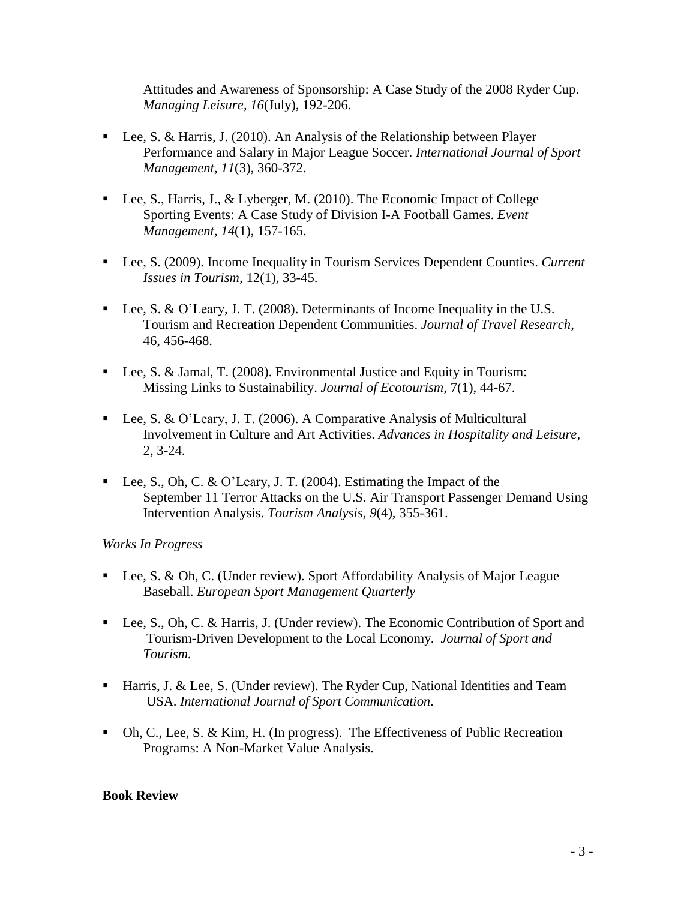Attitudes and Awareness of Sponsorship: A Case Study of the 2008 Ryder Cup. *Managing Leisure, 16*(July), 192-206.

- Lee, S. & Harris, J. (2010). An Analysis of the Relationship between Player Performance and Salary in Major League Soccer. *International Journal of Sport Management, 11*(3), 360-372.
- Lee, S., Harris, J., & Lyberger, M. (2010). The Economic Impact of College Sporting Events: A Case Study of Division I-A Football Games. *Event Management, 14*(1), 157-165.
- Lee, S. (2009). Income Inequality in Tourism Services Dependent Counties. *Current Issues in Tourism,* 12(1), 33-45.
- Lee, S. & O'Leary, J. T. (2008). Determinants of Income Inequality in the U.S. Tourism and Recreation Dependent Communities. *Journal of Travel Research,*  46, 456-468.
- Lee, S. & Jamal, T. (2008). Environmental Justice and Equity in Tourism: Missing Links to Sustainability. *Journal of Ecotourism,* 7(1), 44-67.
- Lee, S. & O'Leary, J. T. (2006). A Comparative Analysis of Multicultural Involvement in Culture and Art Activities. *Advances in Hospitality and Leisure,*  2, 3-24.
- Lee, S., Oh, C. & O'Leary, J. T. (2004). Estimating the Impact of the September 11 Terror Attacks on the U.S. Air Transport Passenger Demand Using Intervention Analysis. *Tourism Analysis*, *9*(4), 355-361.

### *Works In Progress*

- Lee, S. & Oh, C. (Under review). Sport Affordability Analysis of Major League Baseball. *European Sport Management Quarterly*
- Lee, S., Oh, C. & Harris, J. (Under review). The Economic Contribution of Sport and Tourism-Driven Development to the Local Economy. *Journal of Sport and Tourism*.
- Harris, J. & Lee, S. (Under review). The Ryder Cup, National Identities and Team USA. *International Journal of Sport Communication*.
- $\blacksquare$  Oh, C., Lee, S. & Kim, H. (In progress). The Effectiveness of Public Recreation Programs: A Non-Market Value Analysis.

### **Book Review**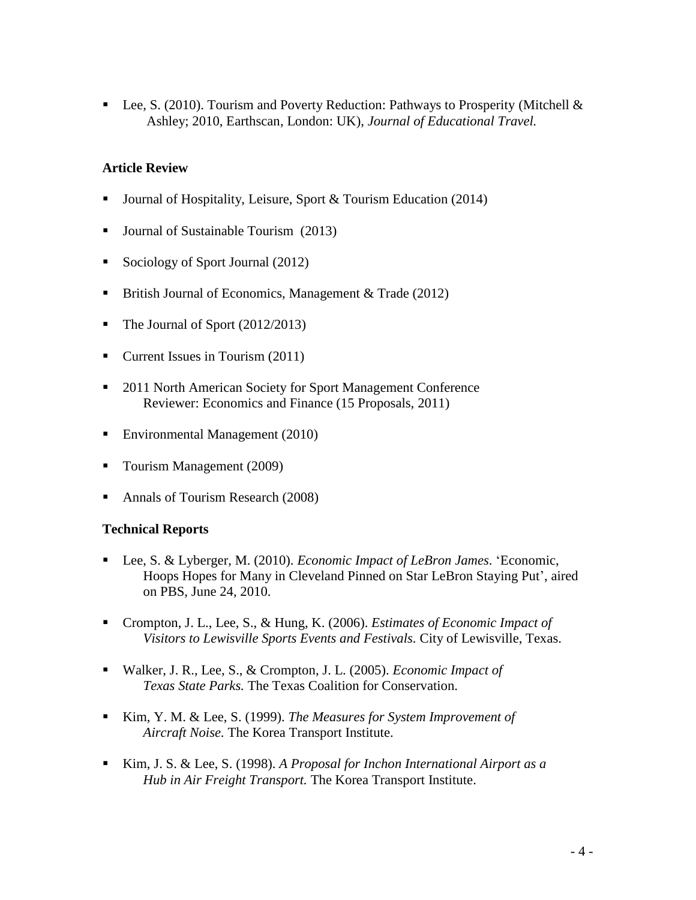Lee, S. (2010). Tourism and Poverty Reduction: Pathways to Prosperity (Mitchell & Ashley; 2010, Earthscan, London: UK), *Journal of Educational Travel.*

#### **Article Review**

- Journal of Hospitality, Leisure, Sport & Tourism Education (2014)
- Journal of Sustainable Tourism (2013)
- Sociology of Sport Journal (2012)
- **British Journal of Economics, Management & Trade (2012)**
- The Journal of Sport (2012/2013)
- Current Issues in Tourism (2011)
- 2011 North American Society for Sport Management Conference Reviewer: Economics and Finance (15 Proposals, 2011)
- Environmental Management (2010)
- Tourism Management (2009)
- Annals of Tourism Research (2008)

#### **Technical Reports**

- Lee, S. & Lyberger, M. (2010). *Economic Impact of LeBron James*. 'Economic, Hoops Hopes for Many in Cleveland Pinned on Star LeBron Staying Put', aired on PBS, June 24, 2010.
- Crompton, J. L., Lee, S., & Hung, K. (2006). *Estimates of Economic Impact of Visitors to Lewisville Sports Events and Festivals.* City of Lewisville, Texas.
- Walker, J. R., Lee, S., & Crompton, J. L. (2005). *Economic Impact of Texas State Parks.* The Texas Coalition for Conservation.
- Kim, Y. M. & Lee, S. (1999). *The Measures for System Improvement of Aircraft Noise.* The Korea Transport Institute.
- Kim, J. S. & Lee, S. (1998). *A Proposal for Inchon International Airport as a Hub in Air Freight Transport.* The Korea Transport Institute.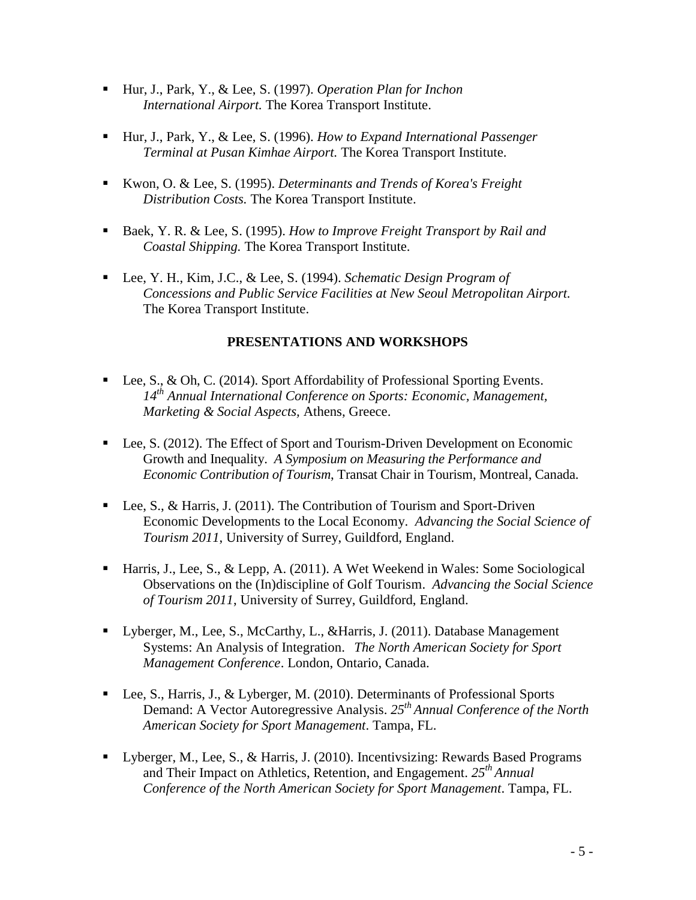- Hur, J., Park, Y., & Lee, S. (1997). *Operation Plan for Inchon International Airport.* The Korea Transport Institute.
- Hur, J., Park, Y., & Lee, S. (1996). *How to Expand International Passenger Terminal at Pusan Kimhae Airport.* The Korea Transport Institute.
- Kwon, O. & Lee, S. (1995). *Determinants and Trends of Korea's Freight Distribution Costs.* The Korea Transport Institute.
- Baek, Y. R. & Lee, S. (1995). *How to Improve Freight Transport by Rail and Coastal Shipping.* The Korea Transport Institute.
- Lee, Y. H., Kim, J.C., & Lee, S. (1994). *Schematic Design Program of Concessions and Public Service Facilities at New Seoul Metropolitan Airport.* The Korea Transport Institute.

## **PRESENTATIONS AND WORKSHOPS**

- Lee, S., & Oh, C. (2014). Sport Affordability of Professional Sporting Events. *14th Annual International Conference on Sports: Economic, Management, Marketing & Social Aspects,* Athens, Greece.
- Lee, S. (2012). The Effect of Sport and Tourism-Driven Development on Economic Growth and Inequality. *A Symposium on Measuring the Performance and Economic Contribution of Tourism*, Transat Chair in Tourism, Montreal, Canada.
- Lee, S., & Harris, J. (2011). The Contribution of Tourism and Sport-Driven Economic Developments to the Local Economy. *Advancing the Social Science of Tourism 2011*, University of Surrey, Guildford, England.
- Harris, J., Lee, S., & Lepp, A. (2011). A Wet Weekend in Wales: Some Sociological Observations on the (In)discipline of Golf Tourism. *Advancing the Social Science of Tourism 2011*, University of Surrey, Guildford, England.
- Lyberger, M., Lee, S., McCarthy, L., &Harris, J. (2011). Database Management Systems: An Analysis of Integration. *The North American Society for Sport Management Conference*. London, Ontario, Canada.
- Lee, S., Harris, J., & Lyberger, M. (2010). Determinants of Professional Sports Demand: A Vector Autoregressive Analysis. *25th Annual Conference of the North American Society for Sport Management*. Tampa, FL.
- Lyberger, M., Lee, S., & Harris, J. (2010). Incentivsizing: Rewards Based Programs and Their Impact on Athletics, Retention, and Engagement. *25th Annual Conference of the North American Society for Sport Management*. Tampa, FL.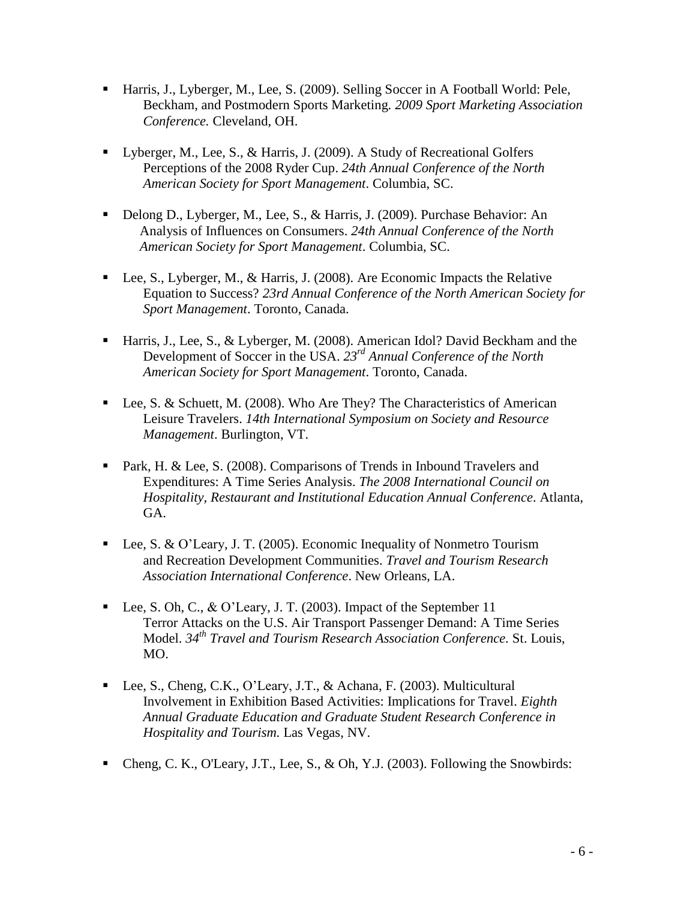- Harris, J., Lyberger, M., Lee, S. (2009). Selling Soccer in A Football World: Pele, Beckham, and Postmodern Sports Marketing*. 2009 Sport Marketing Association Conference.* Cleveland, OH.
- Lyberger, M., Lee, S., & Harris, J. (2009). A Study of Recreational Golfers Perceptions of the 2008 Ryder Cup. *24th Annual Conference of the North American Society for Sport Management*. Columbia, SC.
- Delong D., Lyberger, M., Lee, S., & Harris, J. (2009). Purchase Behavior: An Analysis of Influences on Consumers. *24th Annual Conference of the North American Society for Sport Management*. Columbia, SC.
- Lee, S., Lyberger, M., & Harris, J. (2008). Are Economic Impacts the Relative Equation to Success? *23rd Annual Conference of the North American Society for Sport Management*. Toronto, Canada.
- Harris, J., Lee, S., & Lyberger, M. (2008). American Idol? David Beckham and the Development of Soccer in the USA. *23rd Annual Conference of the North American Society for Sport Management*. Toronto, Canada.
- Lee, S. & Schuett, M. (2008). Who Are They? The Characteristics of American Leisure Travelers. *14th International Symposium on Society and Resource Management*. Burlington, VT.
- **Park, H. & Lee, S. (2008). Comparisons of Trends in Inbound Travelers and** Expenditures: A Time Series Analysis. *The 2008 International Council on Hospitality, Restaurant and Institutional Education Annual Conference*. Atlanta, GA.
- Lee, S. & O'Leary, J. T. (2005). Economic Inequality of Nonmetro Tourism and Recreation Development Communities. *Travel and Tourism Research Association International Conference*. New Orleans, LA.
- Lee, S. Oh, C., & O'Leary, J. T. (2003). Impact of the September 11 Terror Attacks on the U.S. Air Transport Passenger Demand: A Time Series Model. *34th Travel and Tourism Research Association Conference.* St. Louis, MO.
- Lee, S., Cheng, C.K., O'Leary, J.T., & Achana, F. (2003). Multicultural Involvement in Exhibition Based Activities: Implications for Travel. *Eighth Annual Graduate Education and Graduate Student Research Conference in Hospitality and Tourism.* Las Vegas, NV.
- Cheng, C. K., O'Leary, J.T., Lee, S., & Oh, Y.J. (2003). Following the Snowbirds: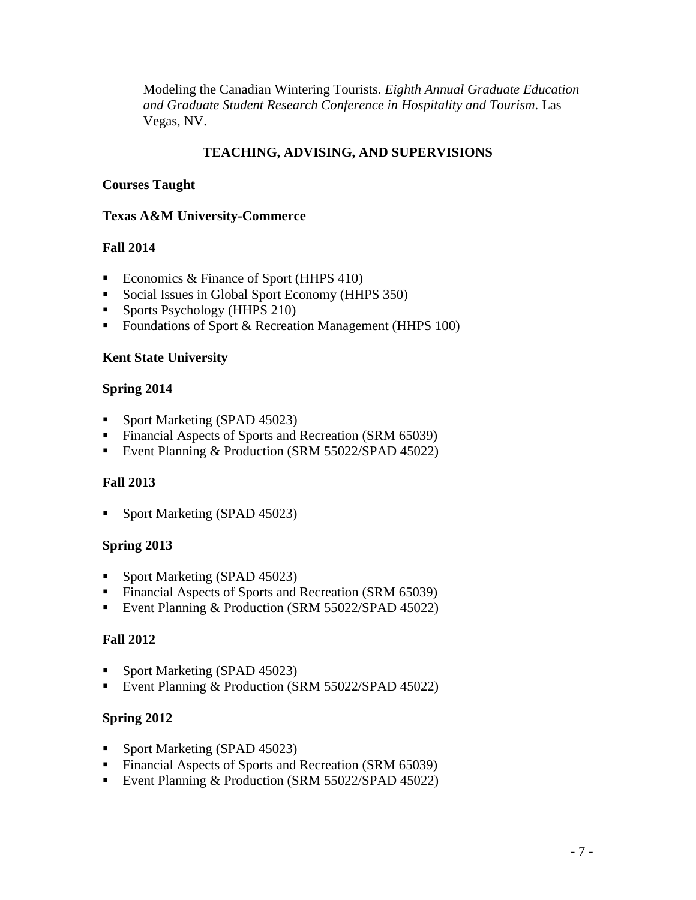Modeling the Canadian Wintering Tourists. *Eighth Annual Graduate Education and Graduate Student Research Conference in Hospitality and Tourism.* Las Vegas, NV.

# **TEACHING, ADVISING, AND SUPERVISIONS**

#### **Courses Taught**

#### **Texas A&M University-Commerce**

#### **Fall 2014**

- Economics & Finance of Sport (HHPS 410)
- Social Issues in Global Sport Economy (HHPS 350)
- **Sports Psychology (HHPS 210)**
- Foundations of Sport & Recreation Management (HHPS 100)

#### **Kent State University**

#### **Spring 2014**

- Sport Marketing (SPAD 45023)
- Financial Aspects of Sports and Recreation (SRM 65039)
- Event Planning & Production (SRM 55022/SPAD 45022)

### **Fall 2013**

• Sport Marketing (SPAD 45023)

### **Spring 2013**

- Sport Marketing (SPAD 45023)
- Financial Aspects of Sports and Recreation (SRM 65039)
- Event Planning & Production (SRM 55022/SPAD 45022)

#### **Fall 2012**

- Sport Marketing (SPAD 45023)
- Event Planning & Production (SRM 55022/SPAD 45022)

### **Spring 2012**

- Sport Marketing (SPAD 45023)
- Financial Aspects of Sports and Recreation (SRM 65039)
- Event Planning & Production (SRM 55022/SPAD 45022)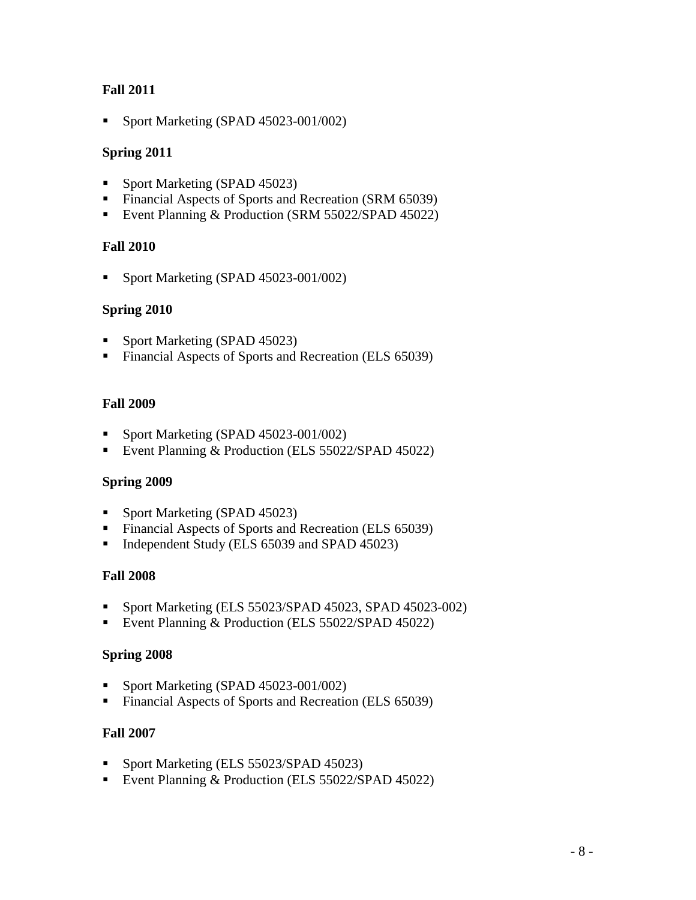## **Fall 2011**

Sport Marketing (SPAD 45023-001/002)

## **Spring 2011**

- Sport Marketing (SPAD 45023)
- Financial Aspects of Sports and Recreation (SRM 65039)
- Event Planning & Production (SRM 55022/SPAD 45022)

### **Fall 2010**

Sport Marketing (SPAD 45023-001/002)

### **Spring 2010**

- Sport Marketing (SPAD 45023)
- Financial Aspects of Sports and Recreation (ELS 65039)

### **Fall 2009**

- Sport Marketing (SPAD 45023-001/002)
- Event Planning & Production (ELS 55022/SPAD 45022)

### **Spring 2009**

- Sport Marketing (SPAD 45023)
- Financial Aspects of Sports and Recreation (ELS 65039)
- Independent Study (ELS 65039 and SPAD 45023)

### **Fall 2008**

- Sport Marketing (ELS 55023/SPAD 45023, SPAD 45023-002)
- Event Planning & Production (ELS 55022/SPAD 45022)

### **Spring 2008**

- Sport Marketing (SPAD 45023-001/002)
- Financial Aspects of Sports and Recreation (ELS 65039)

### **Fall 2007**

- Sport Marketing (ELS 55023/SPAD 45023)
- Event Planning & Production (ELS 55022/SPAD 45022)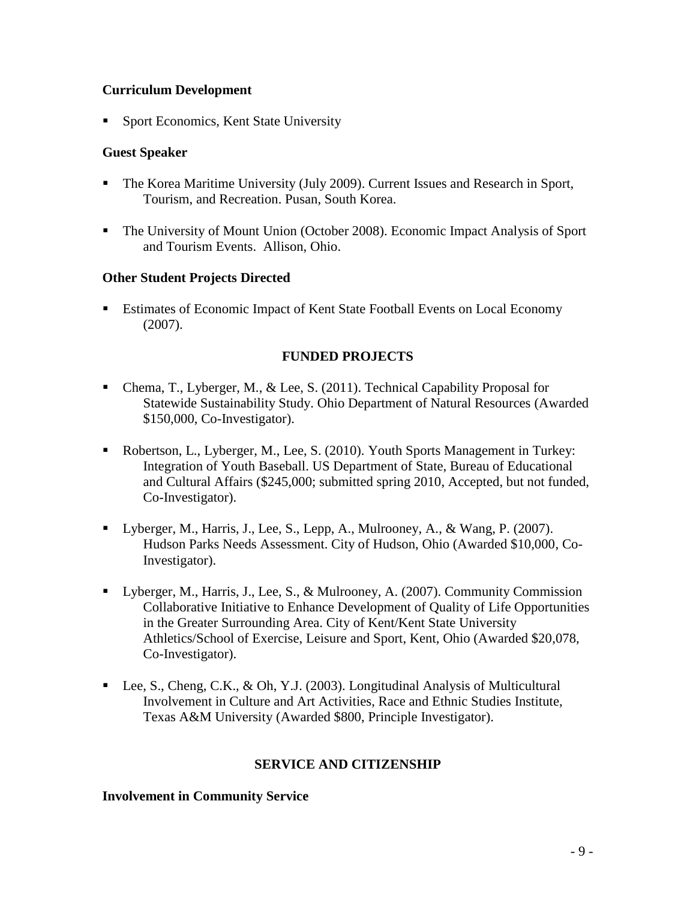### **Curriculum Development**

■ Sport Economics, Kent State University

#### **Guest Speaker**

- The Korea Maritime University (July 2009). Current Issues and Research in Sport, Tourism, and Recreation. Pusan, South Korea.
- The University of Mount Union (October 2008). Economic Impact Analysis of Sport and Tourism Events. Allison, Ohio.

#### **Other Student Projects Directed**

 Estimates of Economic Impact of Kent State Football Events on Local Economy (2007).

### **FUNDED PROJECTS**

- Chema, T., Lyberger, M., & Lee, S. (2011). Technical Capability Proposal for Statewide Sustainability Study. Ohio Department of Natural Resources (Awarded \$150,000, Co-Investigator).
- Robertson, L., Lyberger, M., Lee, S. (2010). Youth Sports Management in Turkey: Integration of Youth Baseball. US Department of State, Bureau of Educational and Cultural Affairs (\$245,000; submitted spring 2010, Accepted, but not funded, Co-Investigator).
- Uyberger, M., Harris, J., Lee, S., Lepp, A., Mulrooney, A., & Wang, P. (2007). Hudson Parks Needs Assessment. City of Hudson, Ohio (Awarded \$10,000, Co-Investigator).
- Lyberger, M., Harris, J., Lee, S., & Mulrooney, A. (2007). Community Commission Collaborative Initiative to Enhance Development of Quality of Life Opportunities in the Greater Surrounding Area. City of Kent/Kent State University Athletics/School of Exercise, Leisure and Sport, Kent, Ohio (Awarded \$20,078, Co-Investigator).
- Lee, S., Cheng, C.K., & Oh, Y.J. (2003). Longitudinal Analysis of Multicultural Involvement in Culture and Art Activities, Race and Ethnic Studies Institute, Texas A&M University (Awarded \$800, Principle Investigator).

#### **SERVICE AND CITIZENSHIP**

#### **Involvement in Community Service**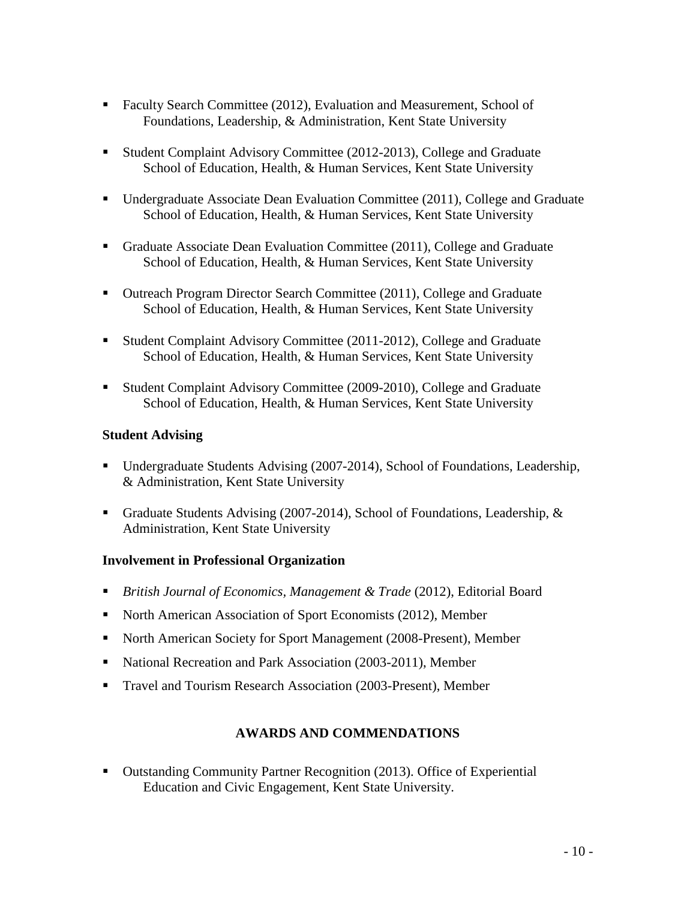- Faculty Search Committee (2012), Evaluation and Measurement, School of Foundations, Leadership, & Administration, Kent State University
- Student Complaint Advisory Committee (2012-2013), College and Graduate School of Education, Health, & Human Services, Kent State University
- Undergraduate Associate Dean Evaluation Committee (2011), College and Graduate School of Education, Health, & Human Services, Kent State University
- Graduate Associate Dean Evaluation Committee (2011), College and Graduate School of Education, Health, & Human Services, Kent State University
- Outreach Program Director Search Committee (2011), College and Graduate School of Education, Health, & Human Services, Kent State University
- Student Complaint Advisory Committee (2011-2012), College and Graduate School of Education, Health, & Human Services, Kent State University
- Student Complaint Advisory Committee (2009-2010), College and Graduate School of Education, Health, & Human Services, Kent State University

### **Student Advising**

- Undergraduate Students Advising (2007-2014), School of Foundations, Leadership, & Administration, Kent State University
- Graduate Students Advising (2007-2014), School of Foundations, Leadership, & Administration, Kent State University

### **Involvement in Professional Organization**

- **British Journal of Economics, Management & Trade (2012), Editorial Board**
- North American Association of Sport Economists (2012), Member
- North American Society for Sport Management (2008-Present), Member
- National Recreation and Park Association (2003-2011), Member
- Travel and Tourism Research Association (2003-Present), Member

# **AWARDS AND COMMENDATIONS**

 Outstanding Community Partner Recognition (2013). Office of Experiential Education and Civic Engagement, Kent State University.